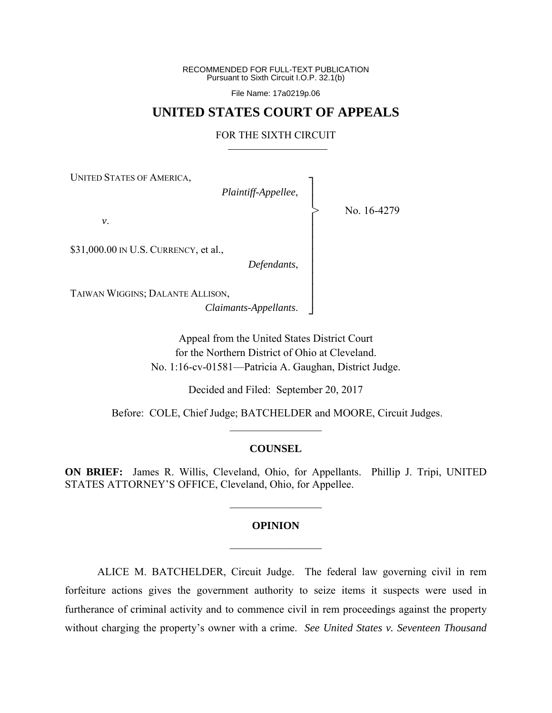RECOMMENDED FOR FULL-TEXT PUBLICATION Pursuant to Sixth Circuit I.O.P. 32.1(b)

File Name: 17a0219p.06

## **UNITED STATES COURT OF APPEALS**

## FOR THE SIXTH CIRCUIT

┐ │ │ │ │ │ │ │ │ │ │ ┘

>

UNITED STATES OF AMERICA,

*Plaintiff-Appellee*,

No. 16-4279

*v*.

\$31,000.00 IN U.S. CURRENCY, et al.,

*Defendants*,

TAIWAN WIGGINS; DALANTE ALLISON,

*Claimants-Appellants*.

Appeal from the United States District Court for the Northern District of Ohio at Cleveland. No. 1:16-cv-01581—Patricia A. Gaughan, District Judge.

Decided and Filed: September 20, 2017

 Before: COLE, Chief Judge; BATCHELDER and MOORE, Circuit Judges.  $\frac{1}{2}$  ,  $\frac{1}{2}$  ,  $\frac{1}{2}$  ,  $\frac{1}{2}$  ,  $\frac{1}{2}$  ,  $\frac{1}{2}$  ,  $\frac{1}{2}$  ,  $\frac{1}{2}$  ,  $\frac{1}{2}$ 

#### **COUNSEL**

**ON BRIEF:** James R. Willis, Cleveland, Ohio, for Appellants. Phillip J. Tripi, UNITED STATES ATTORNEY'S OFFICE, Cleveland, Ohio, for Appellee.

 $\frac{1}{2}$ 

# **OPINION**   $\frac{1}{2}$

 ALICE M. BATCHELDER, Circuit Judge.The federal law governing civil in rem forfeiture actions gives the government authority to seize items it suspects were used in furtherance of criminal activity and to commence civil in rem proceedings against the property without charging the property's owner with a crime. *See United States v. Seventeen Thousand*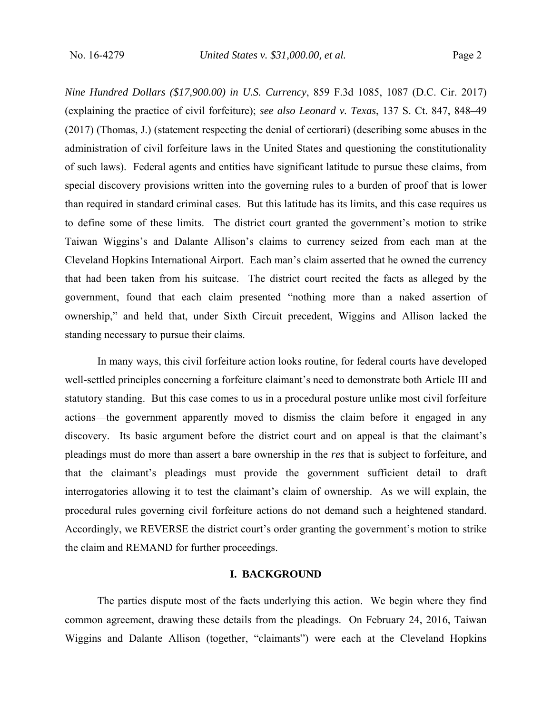*Nine Hundred Dollars (\$17,900.00) in U.S. Currency*, 859 F.3d 1085, 1087 (D.C. Cir. 2017) (explaining the practice of civil forfeiture); *see also Leonard v. Texas*, 137 S. Ct. 847, 848–49 (2017) (Thomas, J.) (statement respecting the denial of certiorari) (describing some abuses in the administration of civil forfeiture laws in the United States and questioning the constitutionality of such laws). Federal agents and entities have significant latitude to pursue these claims, from special discovery provisions written into the governing rules to a burden of proof that is lower than required in standard criminal cases. But this latitude has its limits, and this case requires us to define some of these limits. The district court granted the government's motion to strike Taiwan Wiggins's and Dalante Allison's claims to currency seized from each man at the Cleveland Hopkins International Airport. Each man's claim asserted that he owned the currency that had been taken from his suitcase. The district court recited the facts as alleged by the government, found that each claim presented "nothing more than a naked assertion of ownership," and held that, under Sixth Circuit precedent, Wiggins and Allison lacked the standing necessary to pursue their claims.

 In many ways, this civil forfeiture action looks routine, for federal courts have developed well-settled principles concerning a forfeiture claimant's need to demonstrate both Article III and statutory standing. But this case comes to us in a procedural posture unlike most civil forfeiture actions—the government apparently moved to dismiss the claim before it engaged in any discovery. Its basic argument before the district court and on appeal is that the claimant's pleadings must do more than assert a bare ownership in the *res* that is subject to forfeiture, and that the claimant's pleadings must provide the government sufficient detail to draft interrogatories allowing it to test the claimant's claim of ownership. As we will explain, the procedural rules governing civil forfeiture actions do not demand such a heightened standard. Accordingly, we REVERSE the district court's order granting the government's motion to strike the claim and REMAND for further proceedings.

## **I. BACKGROUND**

 The parties dispute most of the facts underlying this action. We begin where they find common agreement, drawing these details from the pleadings. On February 24, 2016, Taiwan Wiggins and Dalante Allison (together, "claimants") were each at the Cleveland Hopkins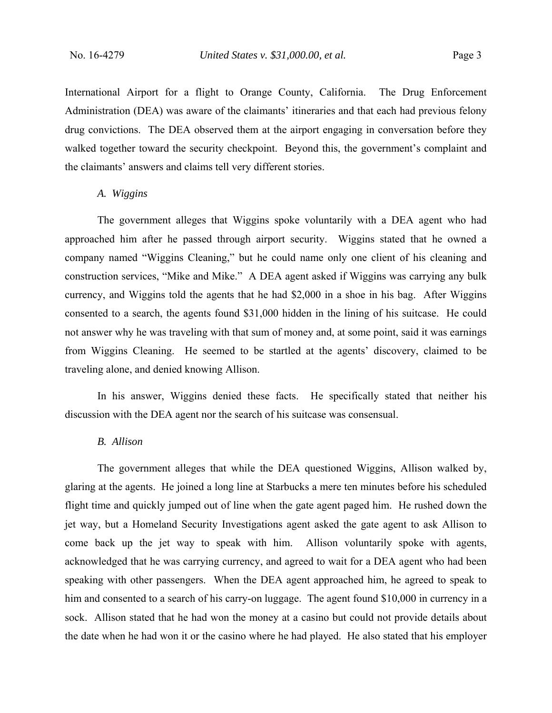International Airport for a flight to Orange County, California. The Drug Enforcement Administration (DEA) was aware of the claimants' itineraries and that each had previous felony drug convictions. The DEA observed them at the airport engaging in conversation before they walked together toward the security checkpoint. Beyond this, the government's complaint and the claimants' answers and claims tell very different stories.

### *A. Wiggins*

 The government alleges that Wiggins spoke voluntarily with a DEA agent who had approached him after he passed through airport security. Wiggins stated that he owned a company named "Wiggins Cleaning," but he could name only one client of his cleaning and construction services, "Mike and Mike." A DEA agent asked if Wiggins was carrying any bulk currency, and Wiggins told the agents that he had \$2,000 in a shoe in his bag. After Wiggins consented to a search, the agents found \$31,000 hidden in the lining of his suitcase. He could not answer why he was traveling with that sum of money and, at some point, said it was earnings from Wiggins Cleaning. He seemed to be startled at the agents' discovery, claimed to be traveling alone, and denied knowing Allison.

 In his answer, Wiggins denied these facts. He specifically stated that neither his discussion with the DEA agent nor the search of his suitcase was consensual.

## *B. Allison*

 The government alleges that while the DEA questioned Wiggins, Allison walked by, glaring at the agents. He joined a long line at Starbucks a mere ten minutes before his scheduled flight time and quickly jumped out of line when the gate agent paged him. He rushed down the jet way, but a Homeland Security Investigations agent asked the gate agent to ask Allison to come back up the jet way to speak with him. Allison voluntarily spoke with agents, acknowledged that he was carrying currency, and agreed to wait for a DEA agent who had been speaking with other passengers. When the DEA agent approached him, he agreed to speak to him and consented to a search of his carry-on luggage. The agent found \$10,000 in currency in a sock. Allison stated that he had won the money at a casino but could not provide details about the date when he had won it or the casino where he had played. He also stated that his employer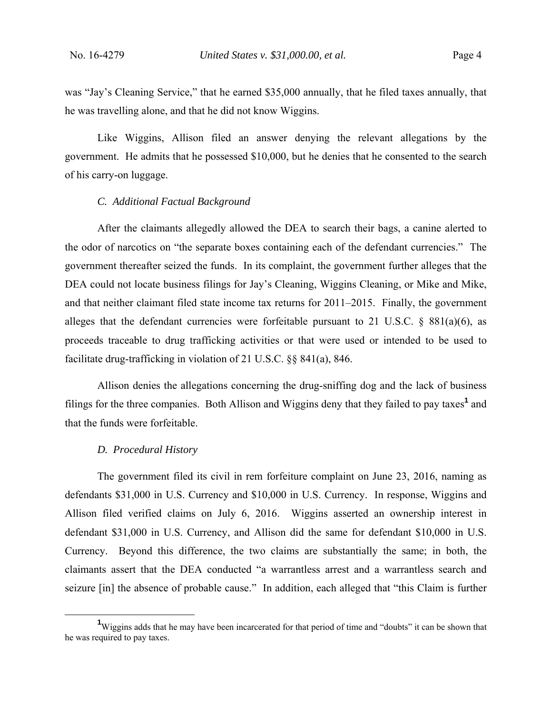was "Jay's Cleaning Service," that he earned \$35,000 annually, that he filed taxes annually, that he was travelling alone, and that he did not know Wiggins.

 Like Wiggins, Allison filed an answer denying the relevant allegations by the government. He admits that he possessed \$10,000, but he denies that he consented to the search of his carry-on luggage.

#### *C. Additional Factual Background*

 After the claimants allegedly allowed the DEA to search their bags, a canine alerted to the odor of narcotics on "the separate boxes containing each of the defendant currencies." The government thereafter seized the funds. In its complaint, the government further alleges that the DEA could not locate business filings for Jay's Cleaning, Wiggins Cleaning, or Mike and Mike, and that neither claimant filed state income tax returns for 2011–2015. Finally, the government alleges that the defendant currencies were forfeitable pursuant to 21 U.S.C.  $\S$  881(a)(6), as proceeds traceable to drug trafficking activities or that were used or intended to be used to facilitate drug-trafficking in violation of 21 U.S.C. §§ 841(a), 846.

 Allison denies the allegations concerning the drug-sniffing dog and the lack of business filings for the three companies. Both Allison and Wiggins deny that they failed to pay taxes<sup>1</sup> and that the funds were forfeitable.

#### *D. Procedural History*

 The government filed its civil in rem forfeiture complaint on June 23, 2016, naming as defendants \$31,000 in U.S. Currency and \$10,000 in U.S. Currency. In response, Wiggins and Allison filed verified claims on July 6, 2016. Wiggins asserted an ownership interest in defendant \$31,000 in U.S. Currency, and Allison did the same for defendant \$10,000 in U.S. Currency. Beyond this difference, the two claims are substantially the same; in both, the claimants assert that the DEA conducted "a warrantless arrest and a warrantless search and seizure [in] the absence of probable cause." In addition, each alleged that "this Claim is further

 $\frac{1}{1}$ <sup>1</sup>Wiggins adds that he may have been incarcerated for that period of time and "doubts" it can be shown that he was required to pay taxes.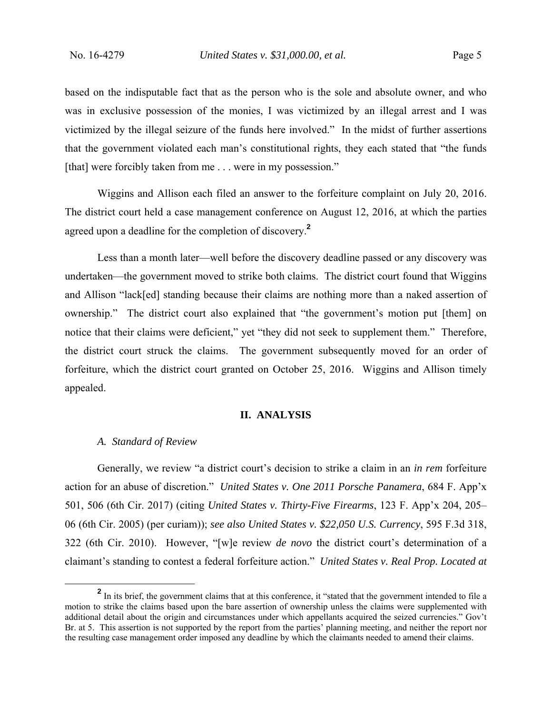based on the indisputable fact that as the person who is the sole and absolute owner, and who was in exclusive possession of the monies, I was victimized by an illegal arrest and I was victimized by the illegal seizure of the funds here involved." In the midst of further assertions that the government violated each man's constitutional rights, they each stated that "the funds [that] were forcibly taken from me . . . were in my possession."

 Wiggins and Allison each filed an answer to the forfeiture complaint on July 20, 2016. The district court held a case management conference on August 12, 2016, at which the parties agreed upon a deadline for the completion of discovery.**<sup>2</sup>**

 Less than a month later—well before the discovery deadline passed or any discovery was undertaken—the government moved to strike both claims. The district court found that Wiggins and Allison "lack[ed] standing because their claims are nothing more than a naked assertion of ownership." The district court also explained that "the government's motion put [them] on notice that their claims were deficient," yet "they did not seek to supplement them." Therefore, the district court struck the claims. The government subsequently moved for an order of forfeiture, which the district court granted on October 25, 2016. Wiggins and Allison timely appealed.

#### **II. ANALYSIS**

#### *A. Standard of Review*

 Generally, we review "a district court's decision to strike a claim in an *in rem* forfeiture action for an abuse of discretion." *United States v. One 2011 Porsche Panamera*, 684 F. App'x 501, 506 (6th Cir. 2017) (citing *United States v. Thirty-Five Firearms*, 123 F. App'x 204, 205– 06 (6th Cir. 2005) (per curiam)); *see also United States v. \$22,050 U.S. Currency*, 595 F.3d 318, 322 (6th Cir. 2010). However, "[w]e review *de novo* the district court's determination of a claimant's standing to contest a federal forfeiture action." *United States v. Real Prop. Located at* 

**<sup>2</sup>** <sup>2</sup> In its brief, the government claims that at this conference, it "stated that the government intended to file a motion to strike the claims based upon the bare assertion of ownership unless the claims were supplemented with additional detail about the origin and circumstances under which appellants acquired the seized currencies." Gov't Br. at 5. This assertion is not supported by the report from the parties' planning meeting, and neither the report nor the resulting case management order imposed any deadline by which the claimants needed to amend their claims.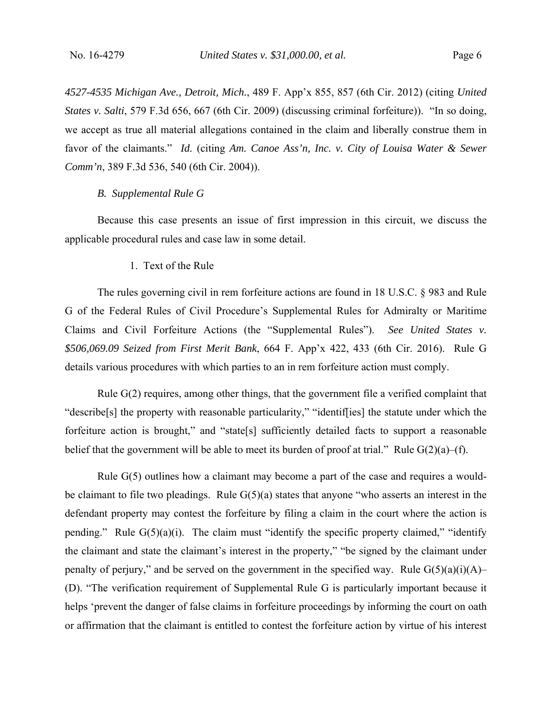*4527-4535 Michigan Ave., Detroit, Mich.*, 489 F. App'x 855, 857 (6th Cir. 2012) (citing *United States v. Salti*, 579 F.3d 656, 667 (6th Cir. 2009) (discussing criminal forfeiture)). "In so doing, we accept as true all material allegations contained in the claim and liberally construe them in favor of the claimants." *Id.* (citing *Am. Canoe Ass'n, Inc. v. City of Louisa Water & Sewer Comm'n*, 389 F.3d 536, 540 (6th Cir. 2004)).

## *B. Supplemental Rule G*

 Because this case presents an issue of first impression in this circuit, we discuss the applicable procedural rules and case law in some detail.

#### 1. Text of the Rule

 The rules governing civil in rem forfeiture actions are found in 18 U.S.C. § 983 and Rule G of the Federal Rules of Civil Procedure's Supplemental Rules for Admiralty or Maritime Claims and Civil Forfeiture Actions (the "Supplemental Rules"). *See United States v. \$506,069.09 Seized from First Merit Bank*, 664 F. App'x 422, 433 (6th Cir. 2016). Rule G details various procedures with which parties to an in rem forfeiture action must comply.

 Rule G(2) requires, among other things, that the government file a verified complaint that "describe[s] the property with reasonable particularity," "identif[ies] the statute under which the forfeiture action is brought," and "state[s] sufficiently detailed facts to support a reasonable belief that the government will be able to meet its burden of proof at trial." Rule  $G(2)(a)$ –(f).

 Rule G(5) outlines how a claimant may become a part of the case and requires a wouldbe claimant to file two pleadings. Rule  $G(5)(a)$  states that anyone "who asserts an interest in the defendant property may contest the forfeiture by filing a claim in the court where the action is pending." Rule  $G(5)(a)(i)$ . The claim must "identify the specific property claimed," "identify the claimant and state the claimant's interest in the property," "be signed by the claimant under penalty of perjury," and be served on the government in the specified way. Rule  $G(5)(a)(i)(A)$ – (D). "The verification requirement of Supplemental Rule G is particularly important because it helps 'prevent the danger of false claims in forfeiture proceedings by informing the court on oath or affirmation that the claimant is entitled to contest the forfeiture action by virtue of his interest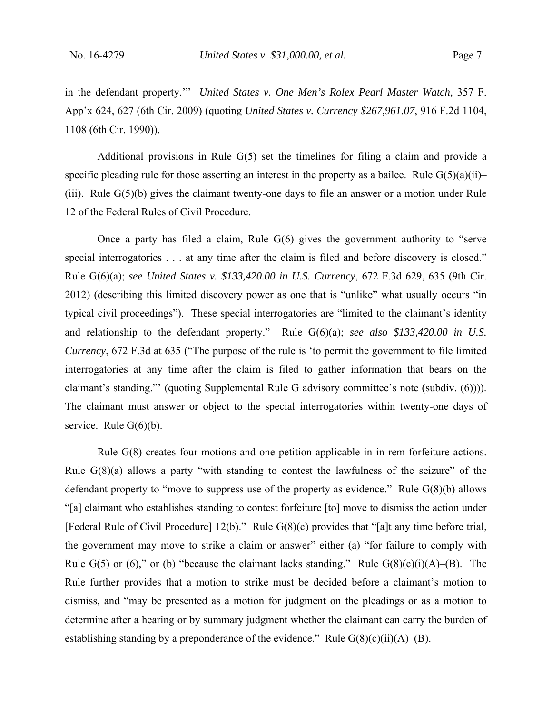in the defendant property.'" *United States v. One Men's Rolex Pearl Master Watch*, 357 F. App'x 624, 627 (6th Cir. 2009) (quoting *United States v. Currency \$267,961.07*, 916 F.2d 1104, 1108 (6th Cir. 1990)).

 Additional provisions in Rule G(5) set the timelines for filing a claim and provide a specific pleading rule for those asserting an interest in the property as a bailee. Rule  $G(5)(a)(ii)$ – (iii). Rule G(5)(b) gives the claimant twenty-one days to file an answer or a motion under Rule 12 of the Federal Rules of Civil Procedure.

 Once a party has filed a claim, Rule G(6) gives the government authority to "serve special interrogatories . . . at any time after the claim is filed and before discovery is closed." Rule G(6)(a); *see United States v. \$133,420.00 in U.S. Currency*, 672 F.3d 629, 635 (9th Cir. 2012) (describing this limited discovery power as one that is "unlike" what usually occurs "in typical civil proceedings"). These special interrogatories are "limited to the claimant's identity and relationship to the defendant property." Rule G(6)(a); *see also \$133,420.00 in U.S. Currency*, 672 F.3d at 635 ("The purpose of the rule is 'to permit the government to file limited interrogatories at any time after the claim is filed to gather information that bears on the claimant's standing."' (quoting Supplemental Rule G advisory committee's note (subdiv. (6)))). The claimant must answer or object to the special interrogatories within twenty-one days of service. Rule  $G(6)(b)$ .

 Rule G(8) creates four motions and one petition applicable in in rem forfeiture actions. Rule G(8)(a) allows a party "with standing to contest the lawfulness of the seizure" of the defendant property to "move to suppress use of the property as evidence." Rule  $G(8)(b)$  allows "[a] claimant who establishes standing to contest forfeiture [to] move to dismiss the action under [Federal Rule of Civil Procedure] 12(b)." Rule G(8)(c) provides that "[a]t any time before trial, the government may move to strike a claim or answer" either (a) "for failure to comply with Rule G(5) or (6)," or (b) "because the claimant lacks standing." Rule  $G(8)(c)(i)(A)$ –(B). The Rule further provides that a motion to strike must be decided before a claimant's motion to dismiss, and "may be presented as a motion for judgment on the pleadings or as a motion to determine after a hearing or by summary judgment whether the claimant can carry the burden of establishing standing by a preponderance of the evidence." Rule G(8)(c)(ii)(A)–(B).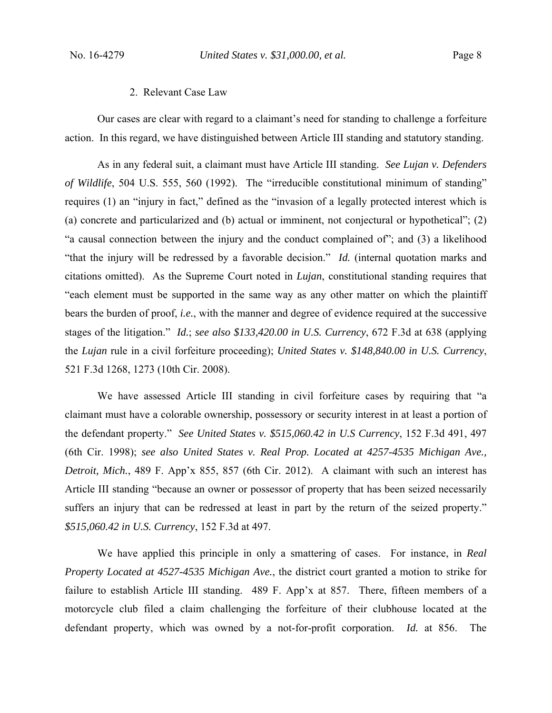#### 2. Relevant Case Law

 Our cases are clear with regard to a claimant's need for standing to challenge a forfeiture action. In this regard, we have distinguished between Article III standing and statutory standing.

 As in any federal suit, a claimant must have Article III standing. *See Lujan v. Defenders of Wildlife*, 504 U.S. 555, 560 (1992). The "irreducible constitutional minimum of standing" requires (1) an "injury in fact," defined as the "invasion of a legally protected interest which is (a) concrete and particularized and (b) actual or imminent, not conjectural or hypothetical"; (2) "a causal connection between the injury and the conduct complained of"; and (3) a likelihood "that the injury will be redressed by a favorable decision." *Id.* (internal quotation marks and citations omitted). As the Supreme Court noted in *Lujan*, constitutional standing requires that "each element must be supported in the same way as any other matter on which the plaintiff bears the burden of proof, *i.e.*, with the manner and degree of evidence required at the successive stages of the litigation." *Id.*; *see also \$133,420.00 in U.S. Currency*, 672 F.3d at 638 (applying the *Lujan* rule in a civil forfeiture proceeding); *United States v. \$148,840.00 in U.S. Currency*, 521 F.3d 1268, 1273 (10th Cir. 2008).

 We have assessed Article III standing in civil forfeiture cases by requiring that "a claimant must have a colorable ownership, possessory or security interest in at least a portion of the defendant property." *See United States v. \$515,060.42 in U.S Currency*, 152 F.3d 491, 497 (6th Cir. 1998); *see also United States v. Real Prop. Located at 4257-4535 Michigan Ave., Detroit, Mich.*, 489 F. App'x 855, 857 (6th Cir. 2012). A claimant with such an interest has Article III standing "because an owner or possessor of property that has been seized necessarily suffers an injury that can be redressed at least in part by the return of the seized property." *\$515,060.42 in U.S. Currency*, 152 F.3d at 497.

 We have applied this principle in only a smattering of cases. For instance, in *Real Property Located at 4527-4535 Michigan Ave.*, the district court granted a motion to strike for failure to establish Article III standing. 489 F. App'x at 857. There, fifteen members of a motorcycle club filed a claim challenging the forfeiture of their clubhouse located at the defendant property, which was owned by a not-for-profit corporation. *Id.* at 856. The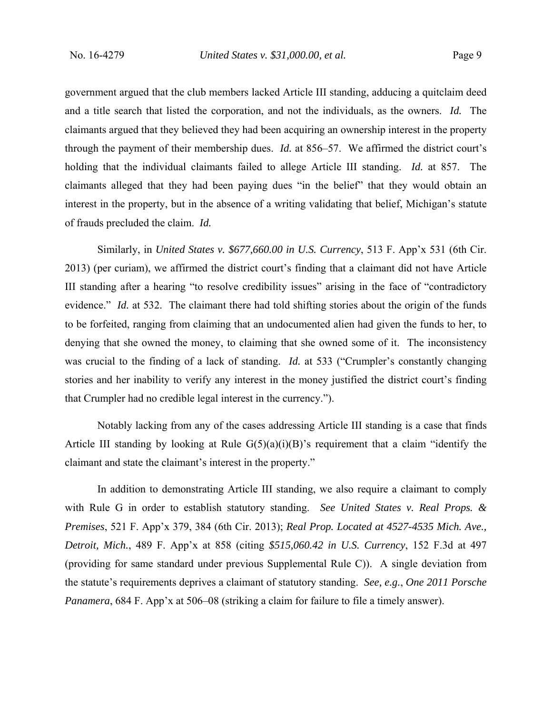government argued that the club members lacked Article III standing, adducing a quitclaim deed and a title search that listed the corporation, and not the individuals, as the owners. *Id.* The claimants argued that they believed they had been acquiring an ownership interest in the property through the payment of their membership dues. *Id.* at 856–57. We affirmed the district court's holding that the individual claimants failed to allege Article III standing. *Id.* at 857. The claimants alleged that they had been paying dues "in the belief" that they would obtain an interest in the property, but in the absence of a writing validating that belief, Michigan's statute of frauds precluded the claim. *Id.*

 Similarly, in *United States v. \$677,660.00 in U.S. Currency*, 513 F. App'x 531 (6th Cir. 2013) (per curiam), we affirmed the district court's finding that a claimant did not have Article III standing after a hearing "to resolve credibility issues" arising in the face of "contradictory evidence." *Id.* at 532. The claimant there had told shifting stories about the origin of the funds to be forfeited, ranging from claiming that an undocumented alien had given the funds to her, to denying that she owned the money, to claiming that she owned some of it. The inconsistency was crucial to the finding of a lack of standing. *Id.* at 533 ("Crumpler's constantly changing stories and her inability to verify any interest in the money justified the district court's finding that Crumpler had no credible legal interest in the currency.").

 Notably lacking from any of the cases addressing Article III standing is a case that finds Article III standing by looking at Rule  $G(5)(a)(i)(B)$ 's requirement that a claim "identify the claimant and state the claimant's interest in the property."

 In addition to demonstrating Article III standing, we also require a claimant to comply with Rule G in order to establish statutory standing. *See United States v. Real Props. & Premises*, 521 F. App'x 379, 384 (6th Cir. 2013); *Real Prop. Located at 4527-4535 Mich. Ave., Detroit, Mich.*, 489 F. App'x at 858 (citing *\$515,060.42 in U.S. Currency*, 152 F.3d at 497 (providing for same standard under previous Supplemental Rule C)). A single deviation from the statute's requirements deprives a claimant of statutory standing. *See, e.g.*, *One 2011 Porsche Panamera*, 684 F. App'x at 506–08 (striking a claim for failure to file a timely answer).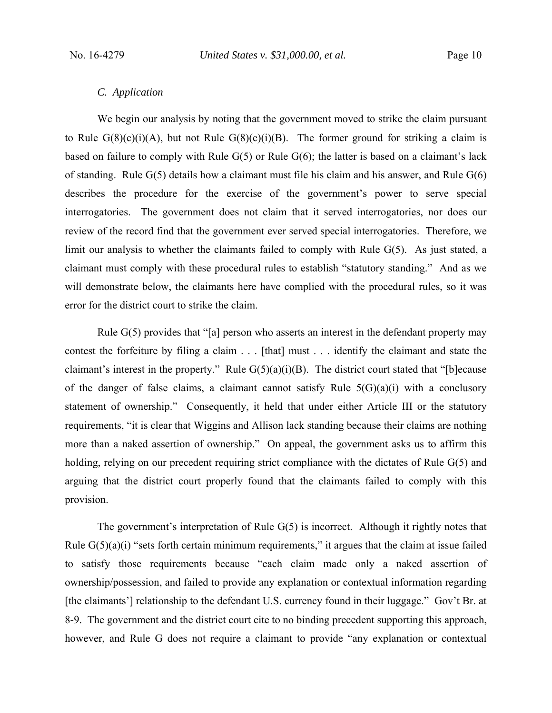## *C. Application*

 We begin our analysis by noting that the government moved to strike the claim pursuant to Rule  $G(8)(c)(i)(A)$ , but not Rule  $G(8)(c)(i)(B)$ . The former ground for striking a claim is based on failure to comply with Rule G(5) or Rule G(6); the latter is based on a claimant's lack of standing. Rule  $G(5)$  details how a claimant must file his claim and his answer, and Rule  $G(6)$ describes the procedure for the exercise of the government's power to serve special interrogatories. The government does not claim that it served interrogatories, nor does our review of the record find that the government ever served special interrogatories. Therefore, we limit our analysis to whether the claimants failed to comply with Rule G(5). As just stated, a claimant must comply with these procedural rules to establish "statutory standing." And as we will demonstrate below, the claimants here have complied with the procedural rules, so it was error for the district court to strike the claim.

 Rule G(5) provides that "[a] person who asserts an interest in the defendant property may contest the forfeiture by filing a claim . . . [that] must . . . identify the claimant and state the claimant's interest in the property." Rule  $G(5)(a)(i)(B)$ . The district court stated that "[b]ecause of the danger of false claims, a claimant cannot satisfy Rule  $5(G)(a)(i)$  with a conclusory statement of ownership." Consequently, it held that under either Article III or the statutory requirements, "it is clear that Wiggins and Allison lack standing because their claims are nothing more than a naked assertion of ownership." On appeal, the government asks us to affirm this holding, relying on our precedent requiring strict compliance with the dictates of Rule G(5) and arguing that the district court properly found that the claimants failed to comply with this provision.

 The government's interpretation of Rule G(5) is incorrect. Although it rightly notes that Rule  $G(5)(a)(i)$  "sets forth certain minimum requirements," it argues that the claim at issue failed to satisfy those requirements because "each claim made only a naked assertion of ownership/possession, and failed to provide any explanation or contextual information regarding [the claimants'] relationship to the defendant U.S. currency found in their luggage." Gov't Br. at 8-9. The government and the district court cite to no binding precedent supporting this approach, however, and Rule G does not require a claimant to provide "any explanation or contextual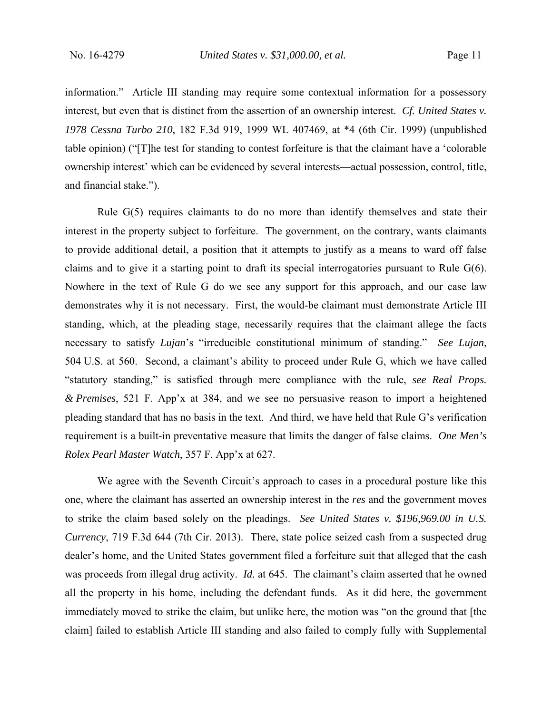information." Article III standing may require some contextual information for a possessory interest, but even that is distinct from the assertion of an ownership interest. *Cf. United States v. 1978 Cessna Turbo 210*, 182 F.3d 919, 1999 WL 407469, at \*4 (6th Cir. 1999) (unpublished table opinion) ("[T]he test for standing to contest forfeiture is that the claimant have a 'colorable ownership interest' which can be evidenced by several interests—actual possession, control, title, and financial stake.").

 Rule G(5) requires claimants to do no more than identify themselves and state their interest in the property subject to forfeiture. The government, on the contrary, wants claimants to provide additional detail, a position that it attempts to justify as a means to ward off false claims and to give it a starting point to draft its special interrogatories pursuant to Rule  $G(6)$ . Nowhere in the text of Rule G do we see any support for this approach, and our case law demonstrates why it is not necessary. First, the would-be claimant must demonstrate Article III standing, which, at the pleading stage, necessarily requires that the claimant allege the facts necessary to satisfy *Lujan*'s "irreducible constitutional minimum of standing." *See Lujan*, 504 U.S. at 560. Second, a claimant's ability to proceed under Rule G, which we have called "statutory standing," is satisfied through mere compliance with the rule, *see Real Props. & Premises*, 521 F. App'x at 384, and we see no persuasive reason to import a heightened pleading standard that has no basis in the text. And third, we have held that Rule G's verification requirement is a built-in preventative measure that limits the danger of false claims. *One Men's Rolex Pearl Master Watch*, 357 F. App'x at 627.

We agree with the Seventh Circuit's approach to cases in a procedural posture like this one, where the claimant has asserted an ownership interest in the *res* and the government moves to strike the claim based solely on the pleadings. *See United States v. \$196,969.00 in U.S. Currency*, 719 F.3d 644 (7th Cir. 2013). There, state police seized cash from a suspected drug dealer's home, and the United States government filed a forfeiture suit that alleged that the cash was proceeds from illegal drug activity. *Id.* at 645. The claimant's claim asserted that he owned all the property in his home, including the defendant funds. As it did here, the government immediately moved to strike the claim, but unlike here, the motion was "on the ground that [the claim] failed to establish Article III standing and also failed to comply fully with Supplemental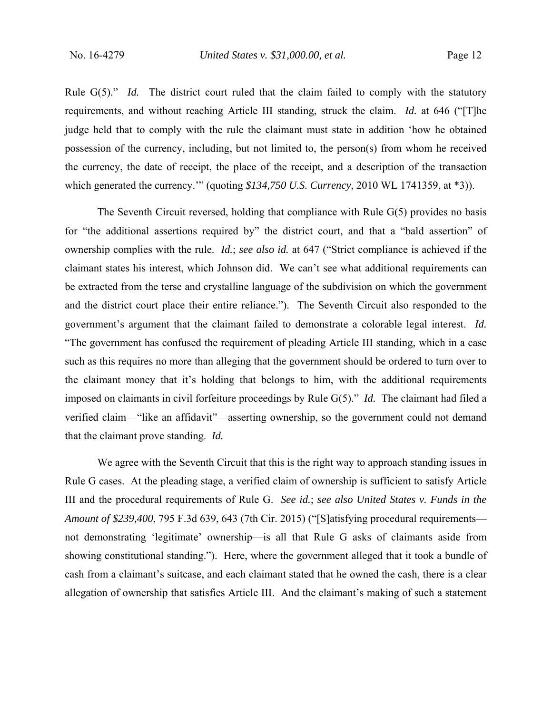Rule G(5)." *Id.* The district court ruled that the claim failed to comply with the statutory requirements, and without reaching Article III standing, struck the claim. *Id.* at 646 ("[T]he judge held that to comply with the rule the claimant must state in addition 'how he obtained possession of the currency, including, but not limited to, the person(s) from whom he received the currency, the date of receipt, the place of the receipt, and a description of the transaction which generated the currency.'" (quoting *\$134,750 U.S. Currency*, 2010 WL 1741359, at \*3)).

 The Seventh Circuit reversed, holding that compliance with Rule G(5) provides no basis for "the additional assertions required by" the district court, and that a "bald assertion" of ownership complies with the rule. *Id.*; *see also id.* at 647 ("Strict compliance is achieved if the claimant states his interest, which Johnson did. We can't see what additional requirements can be extracted from the terse and crystalline language of the subdivision on which the government and the district court place their entire reliance."). The Seventh Circuit also responded to the government's argument that the claimant failed to demonstrate a colorable legal interest. *Id.* "The government has confused the requirement of pleading Article III standing, which in a case such as this requires no more than alleging that the government should be ordered to turn over to the claimant money that it's holding that belongs to him, with the additional requirements imposed on claimants in civil forfeiture proceedings by Rule G(5)." *Id.* The claimant had filed a verified claim—"like an affidavit"—asserting ownership, so the government could not demand that the claimant prove standing. *Id.*

 We agree with the Seventh Circuit that this is the right way to approach standing issues in Rule G cases. At the pleading stage, a verified claim of ownership is sufficient to satisfy Article III and the procedural requirements of Rule G. *See id.*; *see also United States v. Funds in the Amount of \$239,400*, 795 F.3d 639, 643 (7th Cir. 2015) ("[S]atisfying procedural requirements not demonstrating 'legitimate' ownership—is all that Rule G asks of claimants aside from showing constitutional standing."). Here, where the government alleged that it took a bundle of cash from a claimant's suitcase, and each claimant stated that he owned the cash, there is a clear allegation of ownership that satisfies Article III. And the claimant's making of such a statement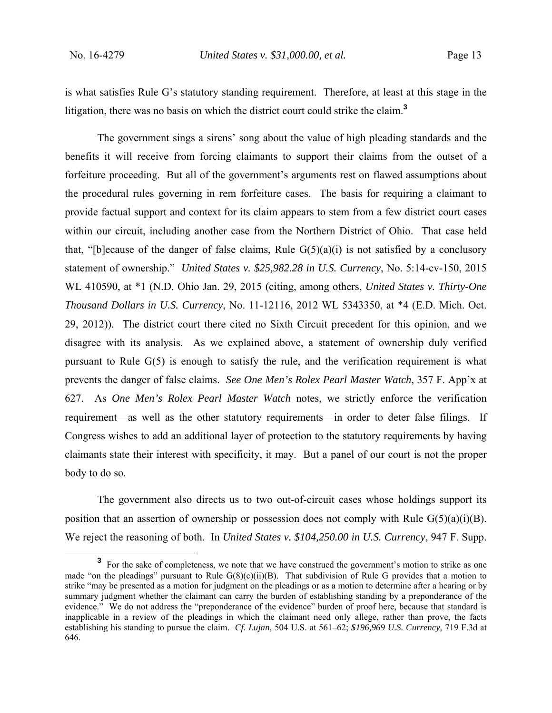is what satisfies Rule G's statutory standing requirement. Therefore, at least at this stage in the litigation, there was no basis on which the district court could strike the claim.**<sup>3</sup>**

 The government sings a sirens' song about the value of high pleading standards and the benefits it will receive from forcing claimants to support their claims from the outset of a forfeiture proceeding. But all of the government's arguments rest on flawed assumptions about the procedural rules governing in rem forfeiture cases. The basis for requiring a claimant to provide factual support and context for its claim appears to stem from a few district court cases within our circuit, including another case from the Northern District of Ohio. That case held that, "[b]ecause of the danger of false claims, Rule  $G(5)(a)(i)$  is not satisfied by a conclusory statement of ownership." *United States v. \$25,982.28 in U.S. Currency*, No. 5:14-cv-150, 2015 WL 410590, at \*1 (N.D. Ohio Jan. 29, 2015 (citing, among others, *United States v. Thirty-One Thousand Dollars in U.S. Currency*, No. 11-12116, 2012 WL 5343350, at \*4 (E.D. Mich. Oct. 29, 2012)). The district court there cited no Sixth Circuit precedent for this opinion, and we disagree with its analysis. As we explained above, a statement of ownership duly verified pursuant to Rule G(5) is enough to satisfy the rule, and the verification requirement is what prevents the danger of false claims. *See One Men's Rolex Pearl Master Watch*, 357 F. App'x at 627. As *One Men's Rolex Pearl Master Watch* notes, we strictly enforce the verification requirement—as well as the other statutory requirements—in order to deter false filings. If Congress wishes to add an additional layer of protection to the statutory requirements by having claimants state their interest with specificity, it may. But a panel of our court is not the proper body to do so.

 The government also directs us to two out-of-circuit cases whose holdings support its position that an assertion of ownership or possession does not comply with Rule  $G(5)(a)(i)(B)$ . We reject the reasoning of both. In *United States v. \$104,250.00 in U.S. Currency*, 947 F. Supp.

**<sup>3</sup>** <sup>3</sup> For the sake of completeness, we note that we have construed the government's motion to strike as one made "on the pleadings" pursuant to Rule  $G(8)(c)(ii)(B)$ . That subdivision of Rule G provides that a motion to strike "may be presented as a motion for judgment on the pleadings or as a motion to determine after a hearing or by summary judgment whether the claimant can carry the burden of establishing standing by a preponderance of the evidence." We do not address the "preponderance of the evidence" burden of proof here, because that standard is inapplicable in a review of the pleadings in which the claimant need only allege, rather than prove, the facts establishing his standing to pursue the claim. *Cf. Lujan*, 504 U.S. at 561–62; *\$196,969 U.S. Currency*, 719 F.3d at 646.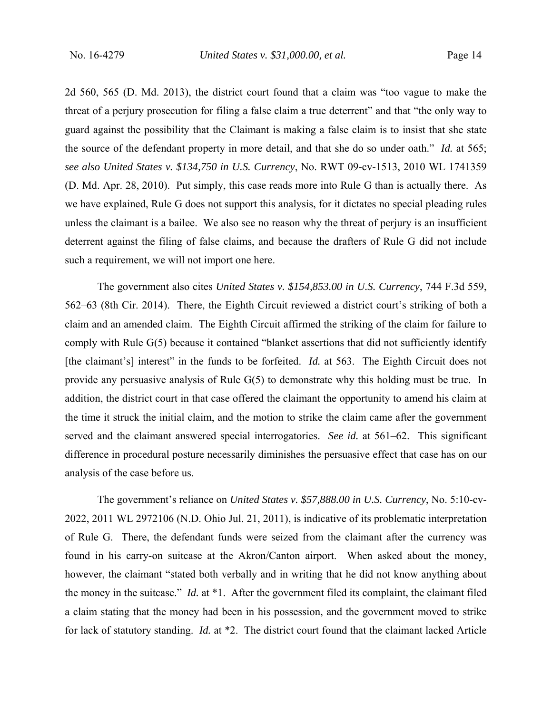2d 560, 565 (D. Md. 2013), the district court found that a claim was "too vague to make the threat of a perjury prosecution for filing a false claim a true deterrent" and that "the only way to guard against the possibility that the Claimant is making a false claim is to insist that she state the source of the defendant property in more detail, and that she do so under oath." *Id.* at 565; *see also United States v. \$134,750 in U.S. Currency*, No. RWT 09-cv-1513, 2010 WL 1741359 (D. Md. Apr. 28, 2010). Put simply, this case reads more into Rule G than is actually there. As we have explained, Rule G does not support this analysis, for it dictates no special pleading rules unless the claimant is a bailee. We also see no reason why the threat of perjury is an insufficient deterrent against the filing of false claims, and because the drafters of Rule G did not include such a requirement, we will not import one here.

 The government also cites *United States v. \$154,853.00 in U.S. Currency*, 744 F.3d 559, 562–63 (8th Cir. 2014). There, the Eighth Circuit reviewed a district court's striking of both a claim and an amended claim. The Eighth Circuit affirmed the striking of the claim for failure to comply with Rule G(5) because it contained "blanket assertions that did not sufficiently identify [the claimant's] interest" in the funds to be forfeited. *Id.* at 563. The Eighth Circuit does not provide any persuasive analysis of Rule G(5) to demonstrate why this holding must be true. In addition, the district court in that case offered the claimant the opportunity to amend his claim at the time it struck the initial claim, and the motion to strike the claim came after the government served and the claimant answered special interrogatories. *See id.* at 561–62. This significant difference in procedural posture necessarily diminishes the persuasive effect that case has on our analysis of the case before us.

 The government's reliance on *United States v. \$57,888.00 in U.S. Currency*, No. 5:10-cv-2022, 2011 WL 2972106 (N.D. Ohio Jul. 21, 2011), is indicative of its problematic interpretation of Rule G. There, the defendant funds were seized from the claimant after the currency was found in his carry-on suitcase at the Akron/Canton airport. When asked about the money, however, the claimant "stated both verbally and in writing that he did not know anything about the money in the suitcase." *Id.* at \*1. After the government filed its complaint, the claimant filed a claim stating that the money had been in his possession, and the government moved to strike for lack of statutory standing. *Id.* at \*2. The district court found that the claimant lacked Article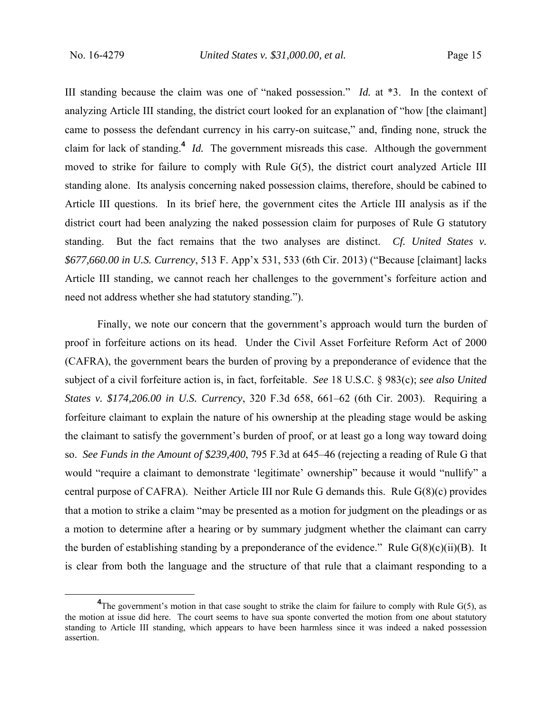III standing because the claim was one of "naked possession." *Id.* at \*3. In the context of analyzing Article III standing, the district court looked for an explanation of "how [the claimant] came to possess the defendant currency in his carry-on suitcase," and, finding none, struck the claim for lack of standing.**<sup>4</sup>** *Id.* The government misreads this case. Although the government moved to strike for failure to comply with Rule G(5), the district court analyzed Article III standing alone. Its analysis concerning naked possession claims, therefore, should be cabined to Article III questions. In its brief here, the government cites the Article III analysis as if the district court had been analyzing the naked possession claim for purposes of Rule G statutory standing. But the fact remains that the two analyses are distinct. *Cf. United States v. \$677,660.00 in U.S. Currency*, 513 F. App'x 531, 533 (6th Cir. 2013) ("Because [claimant] lacks Article III standing, we cannot reach her challenges to the government's forfeiture action and need not address whether she had statutory standing.").

 Finally, we note our concern that the government's approach would turn the burden of proof in forfeiture actions on its head. Under the Civil Asset Forfeiture Reform Act of 2000 (CAFRA), the government bears the burden of proving by a preponderance of evidence that the subject of a civil forfeiture action is, in fact, forfeitable. *See* 18 U.S.C. § 983(c); *see also United States v. \$174,206.00 in U.S. Currency*, 320 F.3d 658, 661–62 (6th Cir. 2003). Requiring a forfeiture claimant to explain the nature of his ownership at the pleading stage would be asking the claimant to satisfy the government's burden of proof, or at least go a long way toward doing so. *See Funds in the Amount of \$239,400*, 795 F.3d at 645–46 (rejecting a reading of Rule G that would "require a claimant to demonstrate 'legitimate' ownership" because it would "nullify" a central purpose of CAFRA). Neither Article III nor Rule G demands this. Rule G(8)(c) provides that a motion to strike a claim "may be presented as a motion for judgment on the pleadings or as a motion to determine after a hearing or by summary judgment whether the claimant can carry the burden of establishing standing by a preponderance of the evidence." Rule  $G(8)(c)(ii)(B)$ . It is clear from both the language and the structure of that rule that a claimant responding to a

**<sup>4</sup>**  $\rm{^{4}$ The government's motion in that case sought to strike the claim for failure to comply with Rule G(5), as the motion at issue did here. The court seems to have sua sponte converted the motion from one about statutory standing to Article III standing, which appears to have been harmless since it was indeed a naked possession assertion.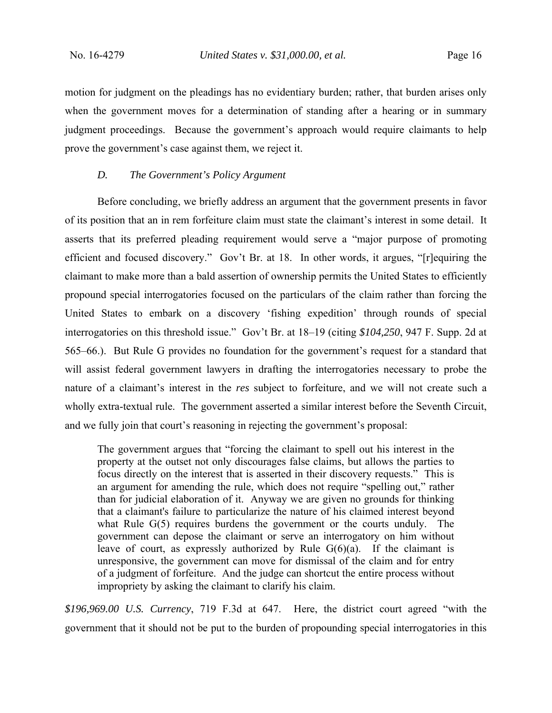motion for judgment on the pleadings has no evidentiary burden; rather, that burden arises only when the government moves for a determination of standing after a hearing or in summary judgment proceedings. Because the government's approach would require claimants to help prove the government's case against them, we reject it.

#### *D. The Government's Policy Argument*

 Before concluding, we briefly address an argument that the government presents in favor of its position that an in rem forfeiture claim must state the claimant's interest in some detail. It asserts that its preferred pleading requirement would serve a "major purpose of promoting efficient and focused discovery." Gov't Br. at 18. In other words, it argues, "[r]equiring the claimant to make more than a bald assertion of ownership permits the United States to efficiently propound special interrogatories focused on the particulars of the claim rather than forcing the United States to embark on a discovery 'fishing expedition' through rounds of special interrogatories on this threshold issue." Gov't Br. at 18–19 (citing *\$104,250*, 947 F. Supp. 2d at 565–66.). But Rule G provides no foundation for the government's request for a standard that will assist federal government lawyers in drafting the interrogatories necessary to probe the nature of a claimant's interest in the *res* subject to forfeiture, and we will not create such a wholly extra-textual rule. The government asserted a similar interest before the Seventh Circuit, and we fully join that court's reasoning in rejecting the government's proposal:

The government argues that "forcing the claimant to spell out his interest in the property at the outset not only discourages false claims, but allows the parties to focus directly on the interest that is asserted in their discovery requests." This is an argument for amending the rule, which does not require "spelling out," rather than for judicial elaboration of it. Anyway we are given no grounds for thinking that a claimant's failure to particularize the nature of his claimed interest beyond what Rule G(5) requires burdens the government or the courts unduly. The government can depose the claimant or serve an interrogatory on him without leave of court, as expressly authorized by Rule  $G(6)(a)$ . If the claimant is unresponsive, the government can move for dismissal of the claim and for entry of a judgment of forfeiture. And the judge can shortcut the entire process without impropriety by asking the claimant to clarify his claim.

*\$196,969.00 U.S. Currency*, 719 F.3d at 647. Here, the district court agreed "with the government that it should not be put to the burden of propounding special interrogatories in this